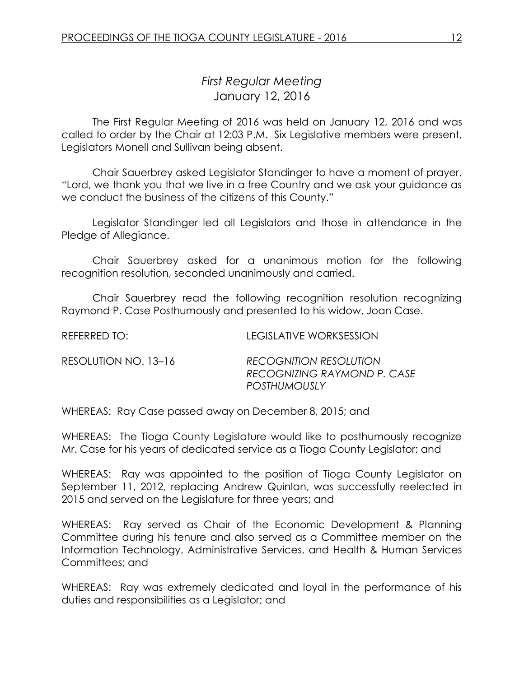# *First Regular Meeting* January 12, 2016

The First Regular Meeting of 2016 was held on January 12, 2016 and was called to order by the Chair at 12:03 P.M. Six Legislative members were present, Legislators Monell and Sullivan being absent.

Chair Sauerbrey asked Legislator Standinger to have a moment of prayer. "Lord, we thank you that we live in a free Country and we ask your guidance as we conduct the business of the citizens of this County."

Legislator Standinger led all Legislators and those in attendance in the Pledge of Allegiance.

Chair Sauerbrey asked for a unanimous motion for the following recognition resolution, seconded unanimously and carried.

Chair Sauerbrey read the following recognition resolution recognizing Raymond P. Case Posthumously and presented to his widow, Joan Case.

REFERRED TO: LEGISLATIVE WORKSESSION

| RESOLUTION NO. 13-16 | <b>RECOGNITION RESOLUTION</b> |
|----------------------|-------------------------------|
|                      | RECOGNIZING RAYMOND P. CASE   |
|                      | POSTHUMOUSLY                  |

WHEREAS: Ray Case passed away on December 8, 2015; and

WHEREAS: The Tioga County Legislature would like to posthumously recognize Mr. Case for his years of dedicated service as a Tioga County Legislator; and

WHEREAS: Ray was appointed to the position of Tioga County Legislator on September 11, 2012, replacing Andrew Quinlan, was successfully reelected in 2015 and served on the Legislature for three years; and

WHEREAS: Ray served as Chair of the Economic Development & Planning Committee during his tenure and also served as a Committee member on the Information Technology, Administrative Services, and Health & Human Services Committees; and

WHEREAS: Ray was extremely dedicated and loyal in the performance of his duties and responsibilities as a Legislator; and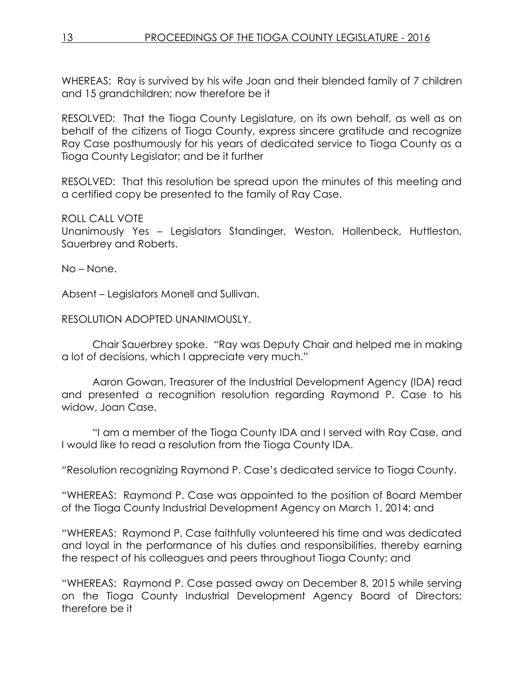WHEREAS: Ray is survived by his wife Joan and their blended family of 7 children and 15 grandchildren; now therefore be it

RESOLVED: That the Tioga County Legislature, on its own behalf, as well as on behalf of the citizens of Tioga County, express sincere gratitude and recognize Ray Case posthumously for his years of dedicated service to Tioga County as a Tioga County Legislator; and be it further

RESOLVED: That this resolution be spread upon the minutes of this meeting and a certified copy be presented to the family of Ray Case.

### ROLL CALL VOTE

Unanimously Yes – Legislators Standinger, Weston, Hollenbeck, Huttleston, Sauerbrey and Roberts.

No – None.

Absent – Legislators Monell and Sullivan.

RESOLUTION ADOPTED UNANIMOUSLY.

Chair Sauerbrey spoke. "Ray was Deputy Chair and helped me in making a lot of decisions, which I appreciate very much."

Aaron Gowan, Treasurer of the Industrial Development Agency (IDA) read and presented a recognition resolution regarding Raymond P. Case to his widow, Joan Case.

"I am a member of the Tioga County IDA and I served with Ray Case, and I would like to read a resolution from the Tioga County IDA.

"Resolution recognizing Raymond P. Case's dedicated service to Tioga County.

"WHEREAS: Raymond P. Case was appointed to the position of Board Member of the Tioga County Industrial Development Agency on March 1, 2014; and

"WHEREAS: Raymond P. Case faithfully volunteered his time and was dedicated and loyal in the performance of his duties and responsibilities, thereby earning the respect of his colleagues and peers throughout Tioga County; and

"WHEREAS: Raymond P. Case passed away on December 8, 2015 while serving on the Tioga County Industrial Development Agency Board of Directors; therefore be it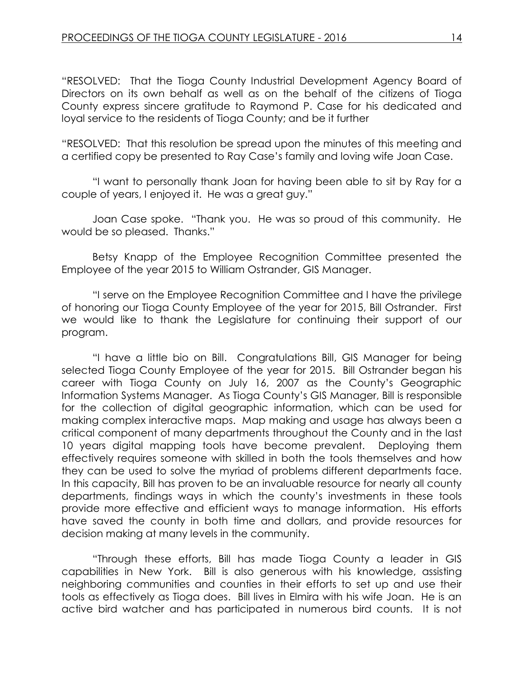"RESOLVED: That the Tioga County Industrial Development Agency Board of Directors on its own behalf as well as on the behalf of the citizens of Tioga County express sincere gratitude to Raymond P. Case for his dedicated and loyal service to the residents of Tioga County; and be it further

"RESOLVED: That this resolution be spread upon the minutes of this meeting and a certified copy be presented to Ray Case's family and loving wife Joan Case.

"I want to personally thank Joan for having been able to sit by Ray for a couple of years, I enjoyed it. He was a great guy."

Joan Case spoke. "Thank you. He was so proud of this community. He would be so pleased. Thanks."

Betsy Knapp of the Employee Recognition Committee presented the Employee of the year 2015 to William Ostrander, GIS Manager.

"I serve on the Employee Recognition Committee and I have the privilege of honoring our Tioga County Employee of the year for 2015, Bill Ostrander. First we would like to thank the Legislature for continuing their support of our program.

"I have a little bio on Bill. Congratulations Bill, GIS Manager for being selected Tioga County Employee of the year for 2015. Bill Ostrander began his career with Tioga County on July 16, 2007 as the County's Geographic Information Systems Manager. As Tioga County's GIS Manager, Bill is responsible for the collection of digital geographic information, which can be used for making complex interactive maps. Map making and usage has always been a critical component of many departments throughout the County and in the last 10 years digital mapping tools have become prevalent. Deploying them effectively requires someone with skilled in both the tools themselves and how they can be used to solve the myriad of problems different departments face. In this capacity, Bill has proven to be an invaluable resource for nearly all county departments, findings ways in which the county's investments in these tools provide more effective and efficient ways to manage information. His efforts have saved the county in both time and dollars, and provide resources for decision making at many levels in the community.

"Through these efforts, Bill has made Tioga County a leader in GIS capabilities in New York. Bill is also generous with his knowledge, assisting neighboring communities and counties in their efforts to set up and use their tools as effectively as Tioga does. Bill lives in Elmira with his wife Joan. He is an active bird watcher and has participated in numerous bird counts. It is not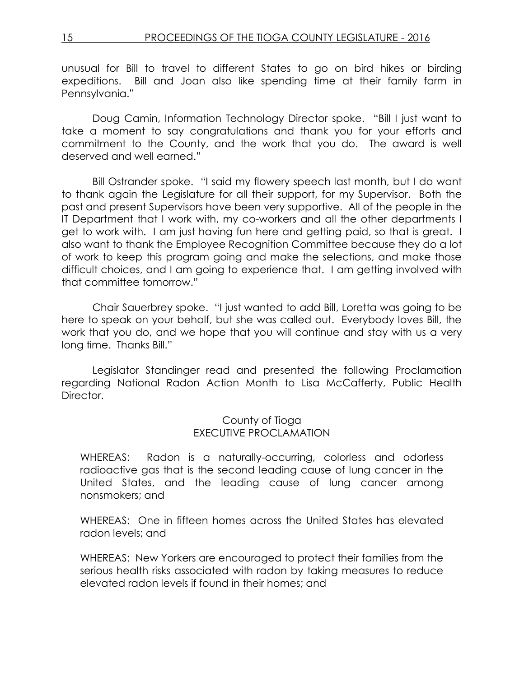unusual for Bill to travel to different States to go on bird hikes or birding expeditions. Bill and Joan also like spending time at their family farm in Pennsylvania."

Doug Camin, Information Technology Director spoke. "Bill I just want to take a moment to say congratulations and thank you for your efforts and commitment to the County, and the work that you do. The award is well deserved and well earned."

Bill Ostrander spoke. "I said my flowery speech last month, but I do want to thank again the Legislature for all their support, for my Supervisor. Both the past and present Supervisors have been very supportive. All of the people in the IT Department that I work with, my co-workers and all the other departments I get to work with. I am just having fun here and getting paid, so that is great. I also want to thank the Employee Recognition Committee because they do a lot of work to keep this program going and make the selections, and make those difficult choices, and I am going to experience that. I am getting involved with that committee tomorrow."

Chair Sauerbrey spoke. "I just wanted to add Bill, Loretta was going to be here to speak on your behalf, but she was called out. Everybody loves Bill, the work that you do, and we hope that you will continue and stay with us a very long time. Thanks Bill."

Legislator Standinger read and presented the following Proclamation regarding National Radon Action Month to Lisa McCafferty, Public Health Director.

### County of Tioga EXECUTIVE PROCLAMATION

WHEREAS: Radon is a naturally-occurring, colorless and odorless radioactive gas that is the second leading cause of lung cancer in the United States, and the leading cause of lung cancer among nonsmokers; and

WHEREAS: One in fifteen homes across the United States has elevated radon levels; and

WHEREAS: New Yorkers are encouraged to protect their families from the serious health risks associated with radon by taking measures to reduce elevated radon levels if found in their homes; and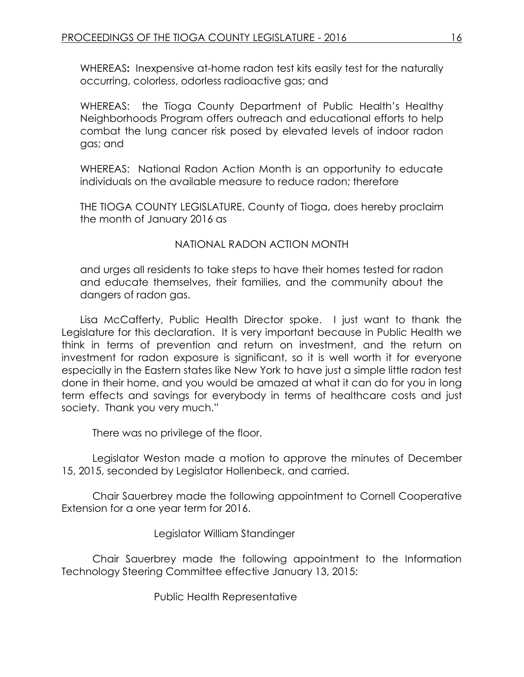WHEREAS**:** Inexpensive at-home radon test kits easily test for the naturally occurring, colorless, odorless radioactive gas; and

WHEREAS: the Tioga County Department of Public Health's Healthy Neighborhoods Program offers outreach and educational efforts to help combat the lung cancer risk posed by elevated levels of indoor radon gas; and

WHEREAS: National Radon Action Month is an opportunity to educate individuals on the available measure to reduce radon; therefore

THE TIOGA COUNTY LEGISLATURE, County of Tioga, does hereby proclaim the month of January 2016 as

NATIONAL RADON ACTION MONTH

and urges all residents to take steps to have their homes tested for radon and educate themselves, their families, and the community about the dangers of radon gas.

Lisa McCafferty, Public Health Director spoke. I just want to thank the Legislature for this declaration. It is very important because in Public Health we think in terms of prevention and return on investment, and the return on investment for radon exposure is significant, so it is well worth it for everyone especially in the Eastern states like New York to have just a simple little radon test done in their home, and you would be amazed at what it can do for you in long term effects and savings for everybody in terms of healthcare costs and just society. Thank you very much."

There was no privilege of the floor.

Legislator Weston made a motion to approve the minutes of December 15, 2015, seconded by Legislator Hollenbeck, and carried.

Chair Sauerbrey made the following appointment to Cornell Cooperative Extension for a one year term for 2016.

Legislator William Standinger

Chair Sauerbrey made the following appointment to the Information Technology Steering Committee effective January 13, 2015:

Public Health Representative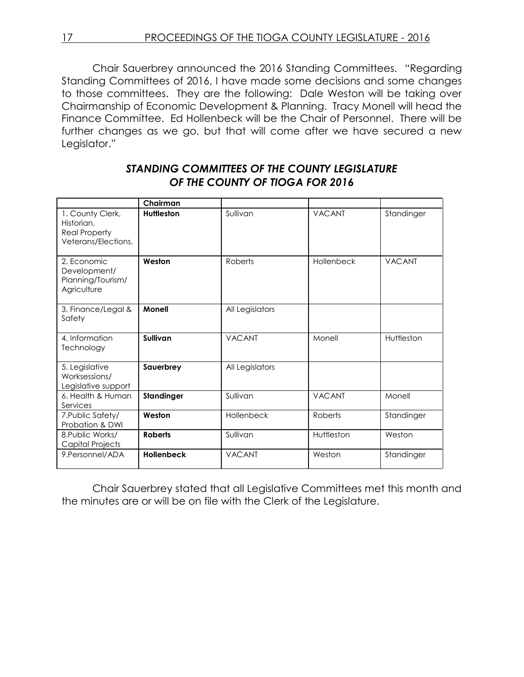17 PROCEEDINGS OF THE TIOGA COUNTY LEGISLATURE - 2016

Chair Sauerbrey announced the 2016 Standing Committees. "Regarding Standing Committees of 2016, I have made some decisions and some changes to those committees. They are the following: Dale Weston will be taking over Chairmanship of Economic Development & Planning. Tracy Monell will head the Finance Committee. Ed Hollenbeck will be the Chair of Personnel. There will be further changes as we go, but that will come after we have secured a new Legislator."

### *STANDING COMMITTEES OF THE COUNTY LEGISLATURE OF THE COUNTY OF TIOGA FOR 2016*

|                                                                               | Chairman          |                 |               |               |
|-------------------------------------------------------------------------------|-------------------|-----------------|---------------|---------------|
| 1. County Clerk,<br>Historian,<br><b>Real Property</b><br>Veterans/Elections, | <b>Huttleston</b> | Sullivan        | <b>VACANT</b> | Standinger    |
| 2. Economic<br>Development/<br>Planning/Tourism/<br>Agriculture               | Weston            | Roberts         | Hollenbeck    | <b>VACANT</b> |
| 3. Finance/Legal &<br>Safety                                                  | <b>Monell</b>     | All Legislators |               |               |
| 4. Information<br>Technology                                                  | Sullivan          | <b>VACANT</b>   | Monell        | Huttleston    |
| 5. Legislative<br>Worksessions/<br>Legislative support                        | Sauerbrey         | All Legislators |               |               |
| 6. Health & Human<br>Services                                                 | Standinger        | Sullivan        | <b>VACANT</b> | Monell        |
| 7. Public Safety/<br>Probation & DWI                                          | Weston            | Hollenbeck      | Roberts       | Standinger    |
| 8. Public Works/<br>Capital Projects                                          | <b>Roberts</b>    | Sullivan        | Huttleston    | Weston        |
| 9. Personnel/ADA                                                              | <b>Hollenbeck</b> | <b>VACANT</b>   | Weston        | Standinger    |

Chair Sauerbrey stated that all Legislative Committees met this month and the minutes are or will be on file with the Clerk of the Legislature.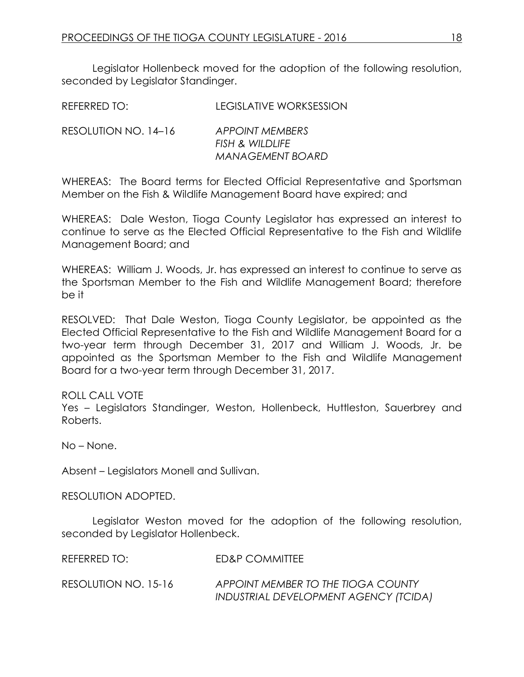Legislator Hollenbeck moved for the adoption of the following resolution, seconded by Legislator Standinger.

| REFERRED TO:         | LEGISLATIVE WORKSESSION |
|----------------------|-------------------------|
| RESOLUTION NO. 14-16 | <b>APPOINT MEMBERS</b>  |

| N NO. 14–16 | APPOINT MEMBERS  |
|-------------|------------------|
|             | FISH & WILDLIFE  |
|             | MANAGEMENT BOARD |

WHEREAS: The Board terms for Elected Official Representative and Sportsman Member on the Fish & Wildlife Management Board have expired; and

WHEREAS: Dale Weston, Tioga County Legislator has expressed an interest to continue to serve as the Elected Official Representative to the Fish and Wildlife Management Board; and

WHEREAS: William J. Woods, Jr. has expressed an interest to continue to serve as the Sportsman Member to the Fish and Wildlife Management Board; therefore be it

RESOLVED: That Dale Weston, Tioga County Legislator, be appointed as the Elected Official Representative to the Fish and Wildlife Management Board for a two-year term through December 31, 2017 and William J. Woods, Jr. be appointed as the Sportsman Member to the Fish and Wildlife Management Board for a two-year term through December 31, 2017.

ROLL CALL VOTE

Yes – Legislators Standinger, Weston, Hollenbeck, Huttleston, Sauerbrey and Roberts.

No – None.

Absent – Legislators Monell and Sullivan.

RESOLUTION ADOPTED.

Legislator Weston moved for the adoption of the following resolution, seconded by Legislator Hollenbeck.

REFERRED TO: ED&P COMMITTEE

RESOLUTION NO. 15-16 *APPOINT MEMBER TO THE TIOGA COUNTY INDUSTRIAL DEVELOPMENT AGENCY (TCIDA)*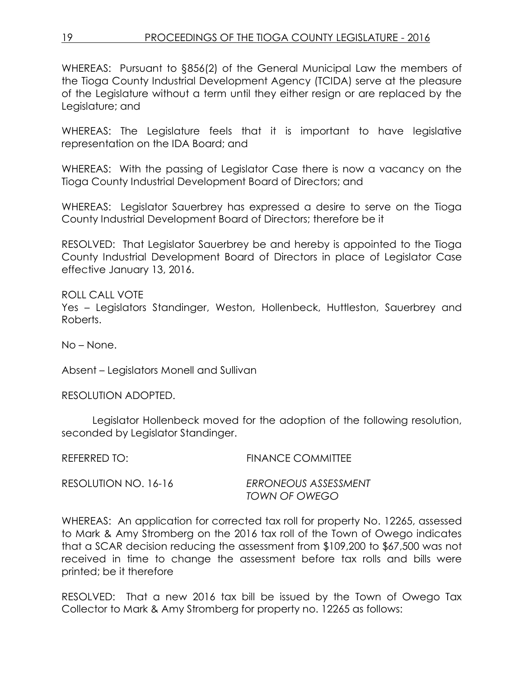WHEREAS: Pursuant to §856(2) of the General Municipal Law the members of the Tioga County Industrial Development Agency (TCIDA) serve at the pleasure of the Legislature without a term until they either resign or are replaced by the Legislature; and

WHEREAS: The Legislature feels that it is important to have legislative representation on the IDA Board; and

WHEREAS: With the passing of Legislator Case there is now a vacancy on the Tioga County Industrial Development Board of Directors; and

WHEREAS: Legislator Sauerbrey has expressed a desire to serve on the Tioga County Industrial Development Board of Directors; therefore be it

RESOLVED: That Legislator Sauerbrey be and hereby is appointed to the Tioga County Industrial Development Board of Directors in place of Legislator Case effective January 13, 2016.

ROLL CALL VOTE Yes – Legislators Standinger, Weston, Hollenbeck, Huttleston, Sauerbrey and Roberts.

No – None.

Absent – Legislators Monell and Sullivan

RESOLUTION ADOPTED.

Legislator Hollenbeck moved for the adoption of the following resolution, seconded by Legislator Standinger.

| REFERRED TO:         | <b>FINANCE COMMITTEE</b> |
|----------------------|--------------------------|
| RESOLUTION NO. 16-16 | ERRONEOUS ASSESSMENT     |
|                      | TOWN OF OWEGO            |

WHEREAS: An application for corrected tax roll for property No. 12265, assessed to Mark & Amy Stromberg on the 2016 tax roll of the Town of Owego indicates that a SCAR decision reducing the assessment from \$109,200 to \$67,500 was not received in time to change the assessment before tax rolls and bills were printed; be it therefore

RESOLVED: That a new 2016 tax bill be issued by the Town of Owego Tax Collector to Mark & Amy Stromberg for property no. 12265 as follows: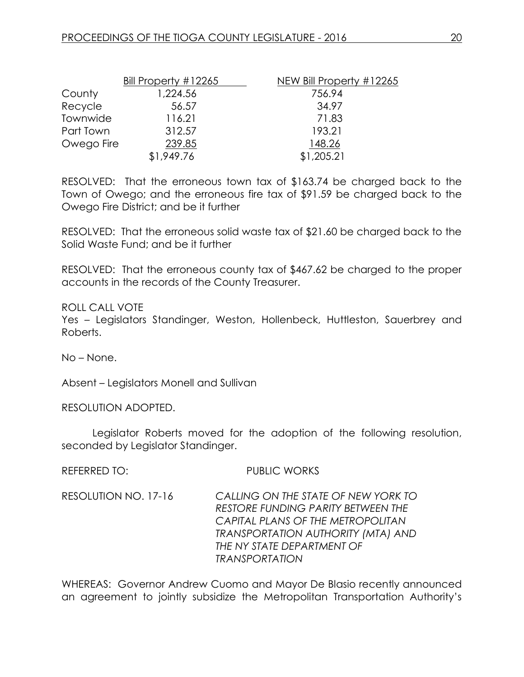|            | Bill Property #12265 | NEW Bill Property #12265 |
|------------|----------------------|--------------------------|
| County     | 1,224.56             | 756.94                   |
| Recycle    | 56.57                | 34.97                    |
| Townwide   | 116.21               | 71.83                    |
| Part Town  | 312.57               | 193.21                   |
| Owego Fire | 239.85               | 148.26                   |
|            | \$1,949.76           | \$1,205.21               |

RESOLVED: That the erroneous town tax of \$163.74 be charged back to the Town of Owego; and the erroneous fire tax of \$91.59 be charged back to the Owego Fire District; and be it further

RESOLVED: That the erroneous solid waste tax of \$21.60 be charged back to the Solid Waste Fund; and be it further

RESOLVED: That the erroneous county tax of \$467.62 be charged to the proper accounts in the records of the County Treasurer.

### ROLL CALL VOTE

Yes – Legislators Standinger, Weston, Hollenbeck, Huttleston, Sauerbrey and Roberts.

No – None.

Absent – Legislators Monell and Sullivan

RESOLUTION ADOPTED.

Legislator Roberts moved for the adoption of the following resolution, seconded by Legislator Standinger.

REFERRED TO: PUBLIC WORKS

RESOLUTION NO. 17-16 *CALLING ON THE STATE OF NEW YORK TO RESTORE FUNDING PARITY BETWEEN THE CAPITAL PLANS OF THE METROPOLITAN TRANSPORTATION AUTHORITY (MTA) AND THE NY STATE DEPARTMENT OF TRANSPORTATION*

WHEREAS: Governor Andrew Cuomo and Mayor De Blasio recently announced an agreement to jointly subsidize the Metropolitan Transportation Authority's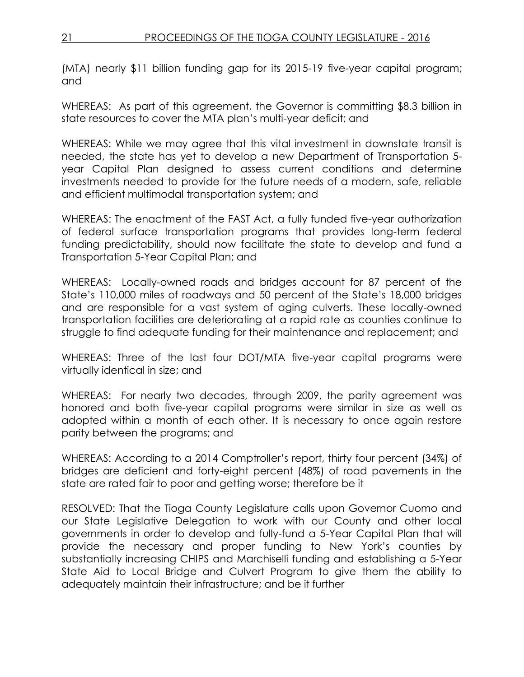(MTA) nearly \$11 billion funding gap for its 2015-19 five-year capital program; and

WHEREAS: As part of this agreement, the Governor is committing \$8.3 billion in state resources to cover the MTA plan's multi-year deficit; and

WHEREAS: While we may agree that this vital investment in downstate transit is needed, the state has yet to develop a new Department of Transportation 5 year Capital Plan designed to assess current conditions and determine investments needed to provide for the future needs of a modern, safe, reliable and efficient multimodal transportation system; and

WHEREAS: The enactment of the FAST Act, a fully funded five-year authorization of federal surface transportation programs that provides long-term federal funding predictability, should now facilitate the state to develop and fund a Transportation 5-Year Capital Plan; and

WHEREAS: Locally-owned roads and bridges account for 87 percent of the State's 110,000 miles of roadways and 50 percent of the State's 18,000 bridges and are responsible for a vast system of aging culverts. These locally-owned transportation facilities are deteriorating at a rapid rate as counties continue to struggle to find adequate funding for their maintenance and replacement; and

WHEREAS: Three of the last four DOT/MTA five-year capital programs were virtually identical in size; and

WHEREAS: For nearly two decades, through 2009, the parity agreement was honored and both five-year capital programs were similar in size as well as adopted within a month of each other. It is necessary to once again restore parity between the programs; and

WHEREAS: According to a 2014 Comptroller's report, thirty four percent (34%) of bridges are deficient and forty-eight percent (48%) of road pavements in the state are rated fair to poor and getting worse; therefore be it

RESOLVED: That the Tioga County Legislature calls upon Governor Cuomo and our State Legislative Delegation to work with our County and other local governments in order to develop and fully-fund a 5-Year Capital Plan that will provide the necessary and proper funding to New York's counties by substantially increasing CHIPS and Marchiselli funding and establishing a 5-Year State Aid to Local Bridge and Culvert Program to give them the ability to adequately maintain their infrastructure; and be it further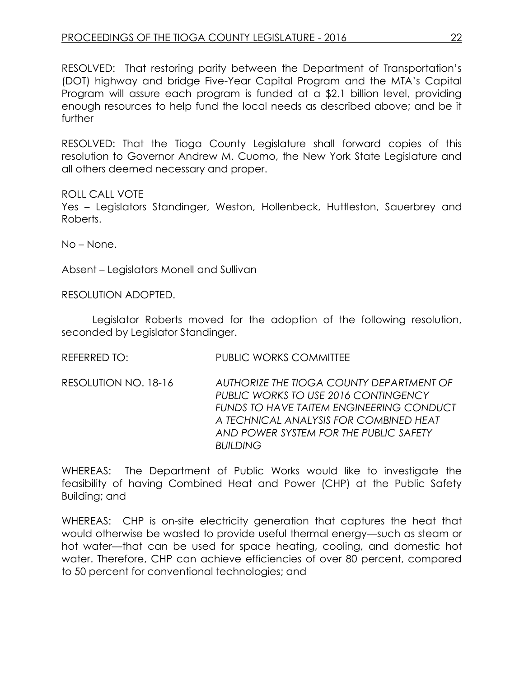RESOLVED: That restoring parity between the Department of Transportation's (DOT) highway and bridge Five-Year Capital Program and the MTA's Capital Program will assure each program is funded at a \$2.1 billion level, providing enough resources to help fund the local needs as described above; and be it further

RESOLVED: That the Tioga County Legislature shall forward copies of this resolution to Governor Andrew M. Cuomo, the New York State Legislature and all others deemed necessary and proper.

ROLL CALL VOTE

Yes – Legislators Standinger, Weston, Hollenbeck, Huttleston, Sauerbrey and Roberts.

No – None.

Absent – Legislators Monell and Sullivan

RESOLUTION ADOPTED.

Legislator Roberts moved for the adoption of the following resolution, seconded by Legislator Standinger.

REFERRED TO: PUBLIC WORKS COMMITTEE

RESOLUTION NO. 18-16 *AUTHORIZE THE TIOGA COUNTY DEPARTMENT OF PUBLIC WORKS TO USE 2016 CONTINGENCY FUNDS TO HAVE TAITEM ENGINEERING CONDUCT A TECHNICAL ANALYSIS FOR COMBINED HEAT AND POWER SYSTEM FOR THE PUBLIC SAFETY BUILDING*

WHEREAS: The Department of Public Works would like to investigate the feasibility of having Combined Heat and Power (CHP) at the Public Safety Building; and

WHEREAS: CHP is on-site electricity generation that captures the heat that would otherwise be wasted to provide useful thermal energy—such as steam or hot water—that can be used for space heating, cooling, and domestic hot water. Therefore, CHP can achieve efficiencies of over 80 percent, compared to 50 percent for conventional technologies; and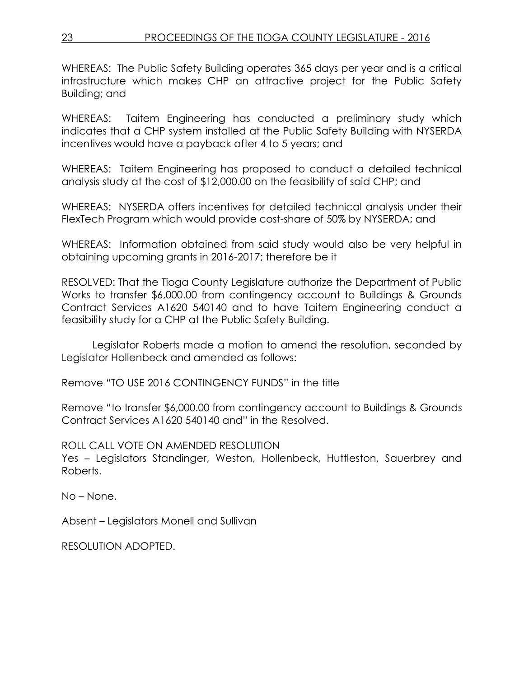WHEREAS: The Public Safety Building operates 365 days per year and is a critical infrastructure which makes CHP an attractive project for the Public Safety Building; and

WHEREAS: Taitem Engineering has conducted a preliminary study which indicates that a CHP system installed at the Public Safety Building with NYSERDA incentives would have a payback after 4 to 5 years; and

WHEREAS: Taitem Engineering has proposed to conduct a detailed technical analysis study at the cost of \$12,000.00 on the feasibility of said CHP; and

WHEREAS: NYSERDA offers incentives for detailed technical analysis under their FlexTech Program which would provide cost-share of 50% by NYSERDA; and

WHEREAS: Information obtained from said study would also be very helpful in obtaining upcoming grants in 2016-2017; therefore be it

RESOLVED: That the Tioga County Legislature authorize the Department of Public Works to transfer \$6,000.00 from contingency account to Buildings & Grounds Contract Services A1620 540140 and to have Taitem Engineering conduct a feasibility study for a CHP at the Public Safety Building.

Legislator Roberts made a motion to amend the resolution, seconded by Legislator Hollenbeck and amended as follows:

Remove "TO USE 2016 CONTINGENCY FUNDS" in the title

Remove "to transfer \$6,000.00 from contingency account to Buildings & Grounds Contract Services A1620 540140 and" in the Resolved.

ROLL CALL VOTE ON AMENDED RESOLUTION Yes – Legislators Standinger, Weston, Hollenbeck, Huttleston, Sauerbrey and Roberts.

No – None.

Absent – Legislators Monell and Sullivan

RESOLUTION ADOPTED.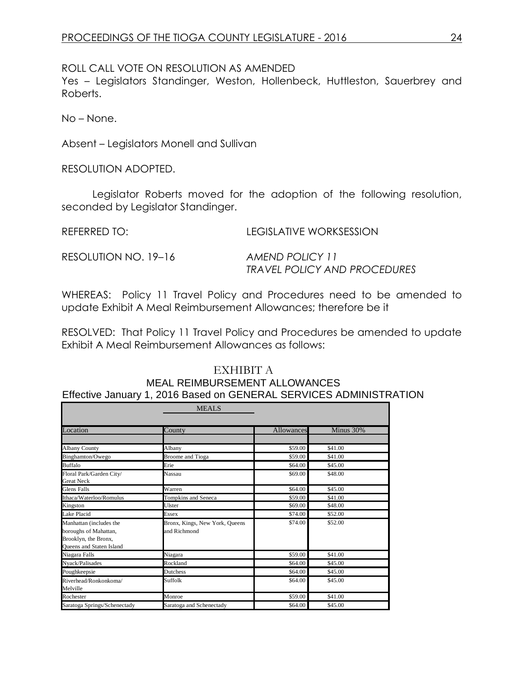ROLL CALL VOTE ON RESOLUTION AS AMENDED

Yes – Legislators Standinger, Weston, Hollenbeck, Huttleston, Sauerbrey and Roberts.

No – None.

Absent – Legislators Monell and Sullivan

RESOLUTION ADOPTED.

Legislator Roberts moved for the adoption of the following resolution, seconded by Legislator Standinger.

REFERRED TO: LEGISLATIVE WORKSESSION

RESOLUTION NO. 19–16 *AMEND POLICY 11*

*TRAVEL POLICY AND PROCEDURES*

WHEREAS: Policy 11 Travel Policy and Procedures need to be amended to update Exhibit A Meal Reimbursement Allowances; therefore be it

RESOLVED: That Policy 11 Travel Policy and Procedures be amended to update Exhibit A Meal Reimbursement Allowances as follows:

# EXHIBIT A

#### MEAL REIMBURSEMENT ALLOWANCES Effective January 1, 2016 Based on GENERAL SERVICES ADMINISTRATION

|                                                                                                             | <b>MEALS</b>                                   |            |           |
|-------------------------------------------------------------------------------------------------------------|------------------------------------------------|------------|-----------|
|                                                                                                             |                                                |            |           |
| Location                                                                                                    | County                                         | Allowances | Minus 30% |
|                                                                                                             |                                                |            |           |
| <b>Albany County</b>                                                                                        | Albany                                         | \$59.00    | \$41.00   |
| Binghamton/Owego                                                                                            | <b>Broome</b> and Tioga                        | \$59.00    | \$41.00   |
| <b>Buffalo</b>                                                                                              | Erie                                           | \$64.00    | \$45.00   |
| Floral Park/Garden City/<br><b>Great Neck</b>                                                               | Nassau                                         | \$69.00    | \$48.00   |
| <b>Glens Falls</b>                                                                                          | Warren                                         | \$64.00    | \$45.00   |
| Ithaca/Waterloo/Romulus                                                                                     | Tompkins and Seneca                            | \$59.00    | \$41.00   |
| Kingston                                                                                                    | Ulster                                         | \$69.00    | \$48.00   |
| Lake Placid                                                                                                 | <b>Essex</b>                                   | \$74.00    | \$52.00   |
| Manhattan (includes the<br>boroughs of Mahattan,<br>Brooklyn, the Bronx,<br><b>Oueens and Staten Island</b> | Bronx, Kings, New York, Queens<br>and Richmond | \$74.00    | \$52.00   |
| Niagara Falls                                                                                               | Niagara                                        | \$59.00    | \$41.00   |
| Nyack/Palisades                                                                                             | Rockland                                       | \$64.00    | \$45.00   |
| Poughkeepsie                                                                                                | Dutchess                                       | \$64.00    | \$45.00   |
| Riverhead/Ronkonkoma/<br>Melville                                                                           | Suffolk                                        | \$64.00    | \$45.00   |
| Rochester                                                                                                   | Monroe                                         | \$59.00    | \$41.00   |
| Saratoga Springs/Schenectady                                                                                | Saratoga and Schenectady                       | \$64.00    | \$45.00   |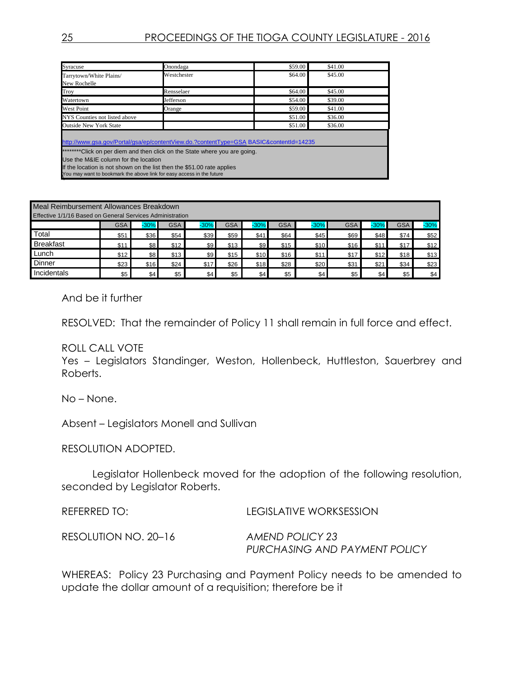| Syracuse                                                                                                                                                                                                                                                                                                                                                        | Onondaga    | \$59.00 | \$41.00 |  |
|-----------------------------------------------------------------------------------------------------------------------------------------------------------------------------------------------------------------------------------------------------------------------------------------------------------------------------------------------------------------|-------------|---------|---------|--|
| Tarrytown/White Plains/<br>New Rochelle                                                                                                                                                                                                                                                                                                                         | Westchester | \$64.00 | \$45.00 |  |
| Troy                                                                                                                                                                                                                                                                                                                                                            | Rensselaer  | \$64.00 | \$45.00 |  |
| Watertown                                                                                                                                                                                                                                                                                                                                                       | Jefferson   | \$54.00 | \$39.00 |  |
| <b>West Point</b>                                                                                                                                                                                                                                                                                                                                               | Orange      | \$59.00 | \$41.00 |  |
| NYS Counties not listed above                                                                                                                                                                                                                                                                                                                                   |             | \$51.00 | \$36.00 |  |
| <b>Outside New York State</b>                                                                                                                                                                                                                                                                                                                                   |             | \$51.00 | \$36.00 |  |
| http://www.gsa.gov/Portal/gsa/ep/contentView.do.?contentType=GSA BASIC&contentId=14235<br>********Click on per diem and then click on the State where you are going.<br>Use the M&IE column for the location<br>If the location is not shown on the list then the \$51.00 rate applies<br>You may want to bookmark the above link for easy access in the future |             |         |         |  |

| Meal Reimbursement Allowances Breakdown<br>Effective 1/1/16 Based on General Services Administration |            |             |            |        |      |        |            |        |            |        |            |        |
|------------------------------------------------------------------------------------------------------|------------|-------------|------------|--------|------|--------|------------|--------|------------|--------|------------|--------|
|                                                                                                      | <b>GSA</b> | $-30%$      | <b>GSA</b> | $-30%$ | GSA  | $-30%$ | <b>GSA</b> | $-30%$ | <b>GSA</b> | $30\%$ | <b>GSA</b> | $-30%$ |
| Total                                                                                                | \$51       | <b>\$36</b> | \$54       | \$39   | \$59 | \$41   | \$64       | \$45   | \$69       | \$48   | \$74       | \$52   |
| <b>Breakfast</b>                                                                                     | \$11       | \$8         | \$12       | \$9    | \$13 | \$9    | \$15       | \$10   | \$16       | \$11   | \$17       | \$12   |
| Lunch                                                                                                | \$12       | \$8         | \$13       | \$9    | \$15 | \$10   | \$16       | \$11   | \$17       | \$12   | \$18       | \$13   |
| Dinner                                                                                               | \$23       | \$16        | \$24       | \$17   | \$26 | \$18   | \$28       | \$20   | \$31       | \$21   | \$34       | \$23   |
| Incidentals                                                                                          | \$5        | \$4         | \$5        | \$4    | \$5  | \$4    | \$5        | \$4    | \$5        | \$4    | \$5        | \$4    |

And be it further

RESOLVED: That the remainder of Policy 11 shall remain in full force and effect.

### ROLL CALL VOTE

Yes – Legislators Standinger, Weston, Hollenbeck, Huttleston, Sauerbrey and Roberts.

No – None.

Absent – Legislators Monell and Sullivan

RESOLUTION ADOPTED.

Legislator Hollenbeck moved for the adoption of the following resolution, seconded by Legislator Roberts.

REFERRED TO: LEGISLATIVE WORKSESSION RESOLUTION NO. 20–16 *AMEND POLICY 23 PURCHASING AND PAYMENT POLICY*

WHEREAS: Policy 23 Purchasing and Payment Policy needs to be amended to update the dollar amount of a requisition; therefore be it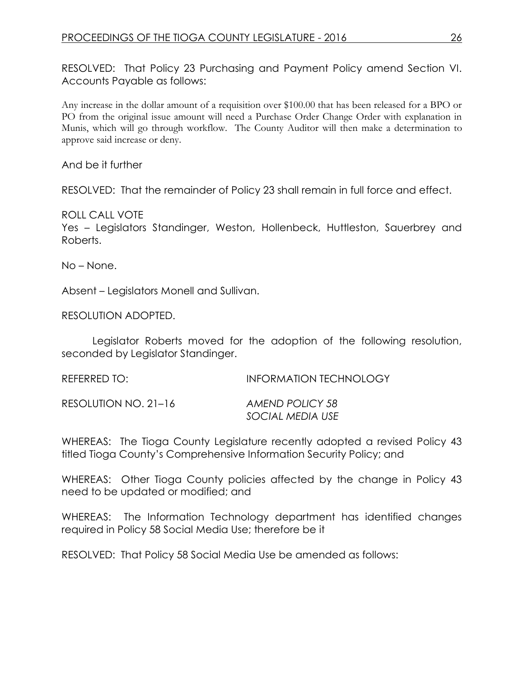RESOLVED: That Policy 23 Purchasing and Payment Policy amend Section VI. Accounts Payable as follows:

Any increase in the dollar amount of a requisition over \$100.00 that has been released for a BPO or PO from the original issue amount will need a Purchase Order Change Order with explanation in Munis, which will go through workflow. The County Auditor will then make a determination to approve said increase or deny.

And be it further

RESOLVED: That the remainder of Policy 23 shall remain in full force and effect.

ROLL CALL VOTE Yes – Legislators Standinger, Weston, Hollenbeck, Huttleston, Sauerbrey and Roberts.

No – None.

Absent – Legislators Monell and Sullivan.

RESOLUTION ADOPTED.

Legislator Roberts moved for the adoption of the following resolution, seconded by Legislator Standinger.

REFERRED TO: INFORMATION TECHNOLOGY RESOLUTION NO. 21–16 *AMEND POLICY 58 SOCIAL MEDIA USE*

WHEREAS: The Tioga County Legislature recently adopted a revised Policy 43 titled Tioga County's Comprehensive Information Security Policy; and

WHEREAS: Other Tioga County policies affected by the change in Policy 43 need to be updated or modified; and

WHEREAS: The Information Technology department has identified changes required in Policy 58 Social Media Use; therefore be it

RESOLVED: That Policy 58 Social Media Use be amended as follows: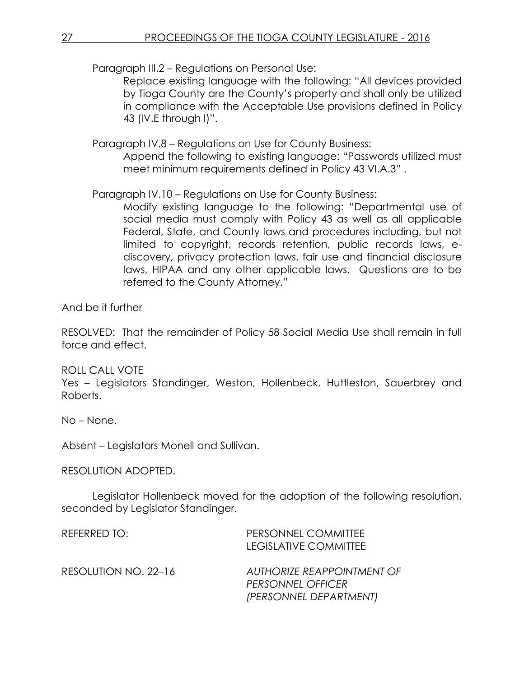Paragraph III.2 – Regulations on Personal Use:

Replace existing language with the following: "All devices provided by Tioga County are the County's property and shall only be utilized in compliance with the Acceptable Use provisions defined in Policy 43 (IV.E through I)".

Paragraph IV.8 – Regulations on Use for County Business:

Append the following to existing language: "Passwords utilized must meet minimum requirements defined in Policy 43 VI.A.3" .

Paragraph IV.10 – Regulations on Use for County Business:

Modify existing language to the following: "Departmental use of social media must comply with Policy 43 as well as all applicable Federal, State, and County laws and procedures including, but not limited to copyright, records retention, public records laws, ediscovery, privacy protection laws, fair use and financial disclosure laws, HIPAA and any other applicable laws. Questions are to be referred to the County Attorney."

And be it further

RESOLVED: That the remainder of Policy 58 Social Media Use shall remain in full force and effect.

# ROLL CALL VOTE

Yes – Legislators Standinger, Weston, Hollenbeck, Huttleston, Sauerbrey and Roberts.

No – None.

Absent – Legislators Monell and Sullivan.

# RESOLUTION ADOPTED.

Legislator Hollenbeck moved for the adoption of the following resolution, seconded by Legislator Standinger.

| REFERRED TO:         | PERSONNEL COMMITTEE<br>LEGISLATIVE COMMITTEE                                     |
|----------------------|----------------------------------------------------------------------------------|
| RESOLUTION NO. 22-16 | AUTHORIZE REAPPOINTMENT OF<br><b>PERSONNEL OFFICER</b><br>(PERSONNEL DEPARTMENT) |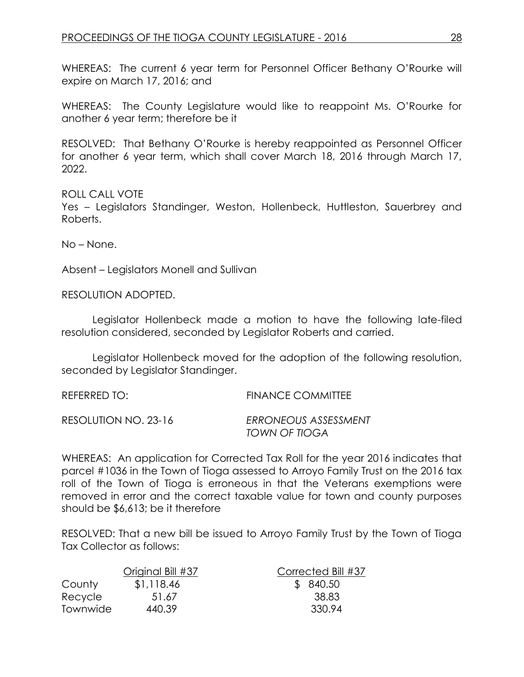WHEREAS: The current 6 year term for Personnel Officer Bethany O'Rourke will expire on March 17, 2016; and

WHEREAS: The County Legislature would like to reappoint Ms. O'Rourke for another 6 year term; therefore be it

RESOLVED: That Bethany O'Rourke is hereby reappointed as Personnel Officer for another 6 year term, which shall cover March 18, 2016 through March 17, 2022.

ROLL CALL VOTE Yes – Legislators Standinger, Weston, Hollenbeck, Huttleston, Sauerbrey and Roberts.

No – None.

Absent – Legislators Monell and Sullivan

RESOLUTION ADOPTED.

Legislator Hollenbeck made a motion to have the following late-filed resolution considered, seconded by Legislator Roberts and carried.

Legislator Hollenbeck moved for the adoption of the following resolution, seconded by Legislator Standinger.

| REFERRED TO:         | <b>FINANCE COMMITTEE</b>              |
|----------------------|---------------------------------------|
| RESOLUTION NO. 23-16 | ERRONEOUS ASSESSMENT<br>TOWN OF TIOGA |

WHEREAS: An application for Corrected Tax Roll for the year 2016 indicates that parcel #1036 in the Town of Tioga assessed to Arroyo Family Trust on the 2016 tax roll of the Town of Tioga is erroneous in that the Veterans exemptions were removed in error and the correct taxable value for town and county purposes should be \$6,613; be it therefore

RESOLVED: That a new bill be issued to Arroyo Family Trust by the Town of Tioga Tax Collector as follows:

|          | Original Bill #37 | Corrected Bill #37 |
|----------|-------------------|--------------------|
| County   | \$1,118.46        | \$ 840.50          |
| Recycle  | 51.67             | 38.83              |
| Townwide | 440.39            | 330.94             |